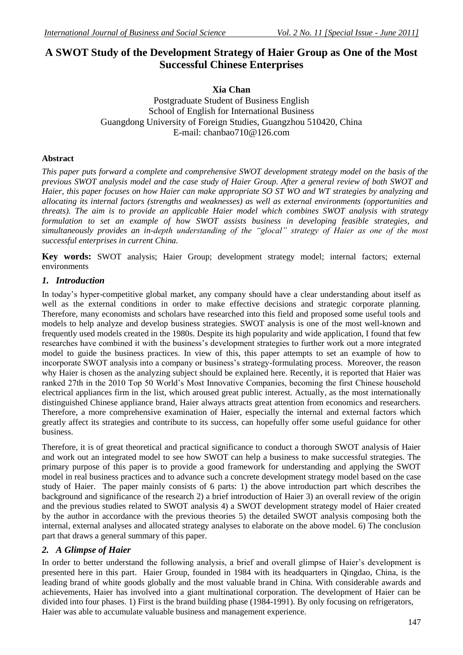# **A SWOT Study of the Development Strategy of Haier Group as One of the Most Successful Chinese Enterprises**

## **Xia Chan**

Postgraduate Student of Business English School of English for International Business Guangdong University of Foreign Studies, Guangzhou 510420, China E-mail: chanbao710@126.com

## **Abstract**

*This paper puts forward a complete and comprehensive SWOT development strategy model on the basis of the previous SWOT analysis model and the case study of Haier Group. After a general review of both SWOT and Haier, this paper focuses on how Haier can make appropriate SO ST WO and WT strategies by analyzing and allocating its internal factors (strengths and weaknesses) as well as external environments (opportunities and threats). The aim is to provide an applicable Haier model which combines SWOT analysis with strategy formulation to set an example of how SWOT assists business in developing feasible strategies, and simultaneously provides an in-depth understanding of the "glocal" strategy of Haier as one of the most successful enterprises in current China.* 

**Key words:** SWOT analysis; Haier Group; development strategy model; internal factors; external environments

## *1. Introduction*

In today's hyper-competitive global market, any company should have a clear understanding about itself as well as the external conditions in order to make effective decisions and strategic corporate planning. Therefore, many economists and scholars have researched into this field and proposed some useful tools and models to help analyze and develop business strategies. SWOT analysis is one of the most well-known and frequently used models created in the 1980s. Despite its high popularity and wide application, I found that few researches have combined it with the business's development strategies to further work out a more integrated model to guide the business practices. In view of this, this paper attempts to set an example of how to incorporate SWOT analysis into a company or business's strategy-formulating process. Moreover, the reason why Haier is chosen as the analyzing subject should be explained here. Recently, it is reported that Haier was ranked 27th in the 2010 Top 50 World's Most Innovative Companies, becoming the first Chinese household electrical appliances firm in the list, which aroused great public interest. Actually, as the most internationally distinguished Chinese appliance brand, Haier always attracts great attention from economics and researchers. Therefore, a more comprehensive examination of Haier, especially the internal and external factors which greatly affect its strategies and contribute to its success, can hopefully offer some useful guidance for other business.

Therefore, it is of great theoretical and practical significance to conduct a thorough SWOT analysis of Haier and work out an integrated model to see how SWOT can help a business to make successful strategies. The primary purpose of this paper is to provide a good framework for understanding and applying the SWOT model in real business practices and to advance such a concrete development strategy model based on the case study of Haier. The paper mainly consists of 6 parts: 1) the above introduction part which describes the background and significance of the research 2) a brief introduction of Haier 3) an overall review of the origin and the previous studies related to SWOT analysis 4) a SWOT development strategy model of Haier created by the author in accordance with the previous theories 5) the detailed SWOT analysis composing both the internal, external analyses and allocated strategy analyses to elaborate on the above model. 6) The conclusion part that draws a general summary of this paper.

## *2. A Glimpse of Haier*

In order to better understand the following analysis, a brief and overall glimpse of Haier's development is presented here in this part. Haier Group, founded in 1984 with its headquarters in Qingdao, China, is the leading brand of white goods globally and the most valuable brand in China. With considerable awards and achievements, Haier has involved into a giant multinational corporation. The development of Haier can be divided into four phases. 1) First is the brand building phase (1984-1991). By only focusing on refrigerators, Haier was able to accumulate valuable business and management experience.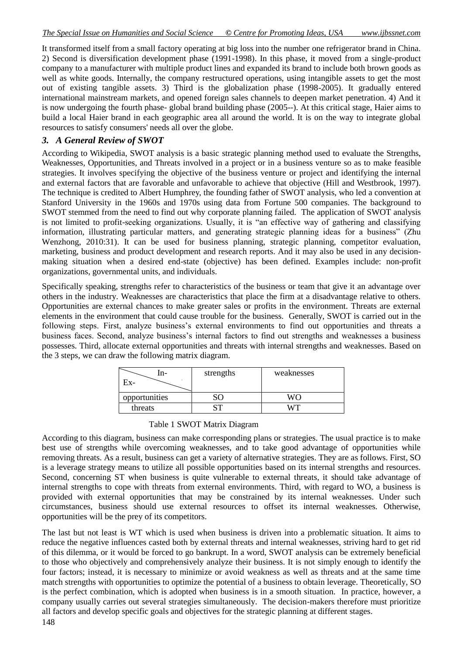It transformed itself from a small factory operating at big loss into the number one refrigerator brand in China. 2) Second is diversification development phase (1991-1998). In this phase, it moved from a single-product company to a manufacturer with multiple product lines and expanded its brand to include both brown goods as well as white goods. Internally, the company restructured operations, using intangible assets to get the most out of existing tangible assets. 3) Third is the globalization phase (1998-2005). It gradually entered international mainstream markets, and opened foreign sales channels to deepen market penetration. 4) And it is now undergoing the fourth phase- global brand building phase (2005--). At this critical stage, Haier aims to build a local Haier brand in each geographic area all around the world. It is on the way to integrate global resources to satisfy consumers' needs all over the globe.

## *3. A General Review of SWOT*

According to Wikipedia, SWOT analysis is a basic [strategic planning](http://en.wikipedia.org/wiki/Strategic_planning) method used to evaluate the Strengths, Weaknesses, Opportunities, and Threats involved in a [project](http://en.wikipedia.org/wiki/Project) or in a [business](http://en.wikipedia.org/wiki/Business) venture so as to make feasible strategies. It involves specifying the objective of the business venture or project and identifying the internal and external factors that are favorable and unfavorable to achieve that objective (Hill and Westbrook, 1997). The technique is credited to [Albert Humphrey,](http://en.wikipedia.org/wiki/Albert_S_Humphrey) the founding father of SWOT analysis, who led a convention at Stanford University in the 1960s and 1970s using data from [Fortune 500](http://en.wikipedia.org/wiki/Fortune_500) companies. The background to SWOT stemmed from the need to find out why corporate planning failed. The application of SWOT analysis is not limited to profit-seeking organizations. Usually, it is "an effective way of gathering and classifying information, illustrating particular matters, and generating strategic planning ideas for a business" (Zhu Wenzhong, 2010:31). It can be used for business planning, strategic planning, competitor evaluation, marketing, business and product development and research reports. And it may also be used in any decisionmaking situation when a desired end-state (objective) has been defined. Examples include: [non-profit](http://en.wikipedia.org/wiki/Non-profit_organizations)  [organizations,](http://en.wikipedia.org/wiki/Non-profit_organizations) governmental units, and individuals.

Specifically speaking, strengths refer to characteristics of the business or team that give it an advantage over others in the industry. Weaknesses are characteristics that place the firm at a disadvantage relative to others. Opportunities are external chances to make greater sales or profits in the environment. Threats are external elements in the environment that could cause trouble for the business. Generally, SWOT is carried out in the following steps. First, analyze business's external environments to find out opportunities and threats a business faces. Second, analyze business's internal factors to find out strengths and weaknesses a business possesses. Third, allocate external opportunities and threats with internal strengths and weaknesses. Based on the 3 steps, we can draw the following matrix diagram.

| n-<br>Ex-     | strengths | weaknesses |
|---------------|-----------|------------|
| opportunities |           | W∩         |
| threats       |           |            |

### Table 1 SWOT Matrix Diagram

According to this diagram, business can make corresponding plans or strategies. The usual practice is to make best use of strengths while overcoming weaknesses, and to take good advantage of opportunities while removing threats. As a result, business can get a variety of alternative strategies. They are as follows. First, SO is a leverage strategy means to utilize all possible opportunities based on its internal strengths and resources. Second, concerning ST when business is quite vulnerable to external threats, it should take advantage of internal strengths to cope with threats from external environments. Third, with regard to WO, a business is provided with external opportunities that may be constrained by its internal weaknesses. Under such circumstances, business should use external resources to offset its internal weaknesses. Otherwise, opportunities will be the prey of its competitors.

The last but not least is WT which is used when business is driven into a problematic situation. It aims to reduce the negative influences casted both by external threats and internal weaknesses, striving hard to get rid of this dilemma, or it would be forced to go bankrupt. In a word, SWOT analysis can be extremely beneficial to those who objectively and comprehensively analyze their business. It is not simply enough to identify the four factors; instead, it is necessary to minimize or avoid weakness as well as threats and at the same time match strengths with opportunities to optimize the potential of a business to obtain leverage. Theoretically, SO is the perfect combination, which is adopted when business is in a smooth situation. In practice, however, a company usually carries out several strategies simultaneously. The decision-makers therefore must prioritize all factors and develop specific goals and objectives for the strategic planning at different stages.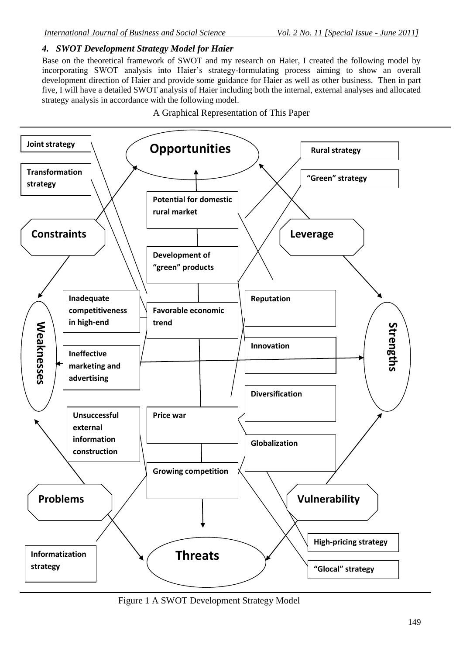## *4. SWOT Development Strategy Model for Haier*

Base on the theoretical framework of SWOT and my research on Haier, I created the following model by incorporating SWOT analysis into Haier's strategy-formulating process aiming to show an overall development direction of Haier and provide some guidance for Haier as well as other business. Then in part five, I will have a detailed SWOT analysis of Haier including both the internal, external analyses and allocated strategy analysis in accordance with the following model.

A Graphical Representation of This Paper



Figure 1 A SWOT Development Strategy Model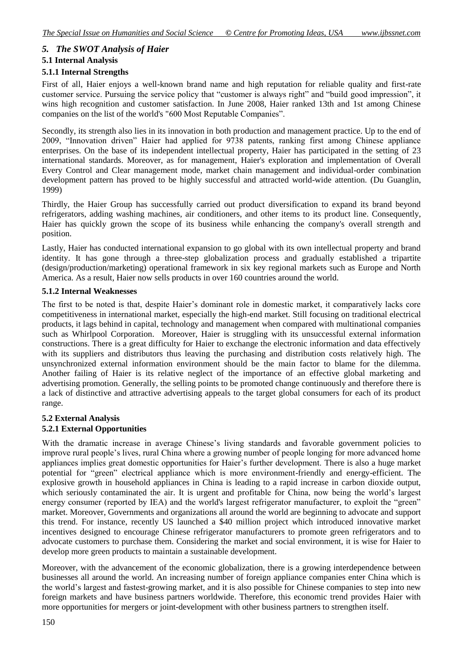## *5. The SWOT Analysis of Haier*

## **5.1 Internal Analysis**

## **5.1.1 Internal Strengths**

First of all, Haier enjoys a well-known brand name and high reputation for reliable quality and first-rate customer service. Pursuing the service policy that "customer is always right" and "build good impression", it wins high recognition and customer satisfaction. In June 2008, Haier ranked 13th and 1st among Chinese companies on the list of the world's "600 Most Reputable Companies".

Secondly, its strength also lies in its innovation in both production and management practice. Up to the end of 2009, "Innovation driven" Haier had applied for 9738 patents, ranking first among Chinese appliance enterprises. On the base of its independent intellectual property, Haier has participated in the setting of 23 international standards. Moreover, as for management, Haier's exploration and implementation of Overall Every Control and Clear management mode, market chain management and individual-order combination development pattern has proved to be highly successful and attracted world-wide attention. (Du Guanglin, 1999)

Thirdly, the Haier Group has successfully carried out product diversification to expand its brand beyond refrigerators, adding washing machines, air conditioners, and other items to its product line. Consequently, Haier has quickly grown the scope of its business while enhancing the company's overall strength and position.

Lastly, Haier has conducted international expansion to go global with its own intellectual property and brand identity. It has gone through a three-step globalization process and gradually established a tripartite (design/production/marketing) operational framework in six key regional markets such as Europe and North America. As a result, Haier now sells products in over 160 countries around the world.

### **5.1.2 Internal Weaknesses**

The first to be noted is that, despite Haier's dominant role in domestic market, it comparatively lacks core competitiveness in international market, especially the high-end market. Still focusing on traditional electrical products, it lags behind in capital, technology and management when compared with multinational companies such as Whirlpool Corporation. Moreover, Haier is struggling with its unsuccessful external information constructions. There is a great difficulty for Haier to exchange the electronic information and data effectively with its suppliers and distributors thus leaving the purchasing and distribution costs relatively high. The unsynchronized external information environment should be the main factor to blame for the dilemma. Another failing of Haier is its relative neglect of the importance of an effective global marketing and advertising promotion. Generally, the selling points to be promoted change continuously and therefore there is a lack of distinctive and attractive advertising appeals to the target global consumers for each of its product range.

## **5.2 External Analysis 5.2.1 External Opportunities**

With the dramatic increase in average Chinese's living standards and favorable government policies to improve rural people's lives, rural China where a growing number of people longing for more advanced home appliances implies great domestic opportunities for Haier's further development. There is also a huge market potential for "green" electrical appliance which is more environment-friendly and energy-efficient. The explosive growth in household appliances in China is leading to a rapid increase in carbon dioxide output, which seriously contaminated the air. It is urgent and profitable for China, now being the world's largest energy consumer (reported by IEA) and the world's largest refrigerator manufacturer, to exploit the "green" market. Moreover, Governments and organizations all around the world are beginning to advocate and support this trend. For instance, recently US launched a \$40 million project which introduced innovative market incentives designed to encourage Chinese refrigerator manufacturers to promote green refrigerators and to advocate customers to purchase them. Considering the market and social environment, it is wise for Haier to develop more green products to maintain a sustainable development.

Moreover, with the advancement of the economic globalization, there is a growing interdependence between businesses all around the world. An increasing number of foreign appliance companies enter China which is the world's largest and fastest-growing market, and it is also possible for Chinese companies to step into new foreign markets and have business partners worldwide. Therefore, this economic trend provides Haier with more opportunities for mergers or joint-development with other business partners to strengthen itself.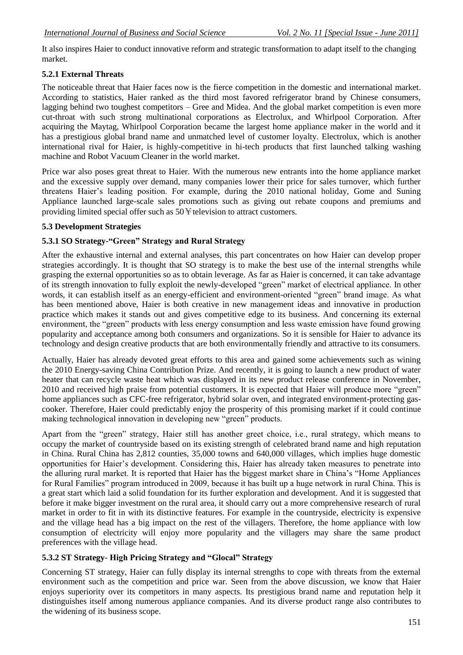It also inspires Haier to conduct innovative reform and strategic transformation to adapt itself to the changing market.

## **5.2.1 External Threats**

The noticeable threat that Haier faces now is the fierce competition in the domestic and international market. According to statistics, Haier ranked as the third most favored refrigerator brand by Chinese consumers, lagging behind two toughest competitors – Gree and Midea. And the global market competition is even more cut-throat with such strong multinational corporations as Electrolux, and Whirlpool Corporation. After acquiring the Maytag, Whirlpool Corporation became the largest home appliance maker in the world and it has a prestigious global brand name and unmatched level of customer loyalty. Electrolux, which is another international rival for Haier, is highly-competitive in hi-tech products that first launched talking washing machine and Robot Vacuum Cleaner in the world market.

Price war also poses great threat to Haier. With the numerous new entrants into the home appliance market and the excessive supply over demand, many companies lower their price for sales turnover, which further threatens Haier's leading position. For example, during the 2010 national holiday, Gome and Suning Appliance launched large-scale sales promotions such as giving out rebate coupons and premiums and providing limited special offer such as  $50\frac{1}{2}$  television to attract customers.

### **5.3 Development Strategies**

## **5.3.1 SO Strategy-"Green" Strategy and Rural Strategy**

After the exhaustive internal and external analyses, this part concentrates on how Haier can develop proper strategies accordingly. It is thought that SO strategy is to make the best use of the internal strengths while grasping the external opportunities so as to obtain leverage. As far as Haier is concerned, it can take advantage of its strength innovation to fully exploit the newly-developed "green" market of electrical appliance. In other words, it can establish itself as an energy-efficient and environment-oriented "green" brand image. As what has been mentioned above, Haier is both creative in new management ideas and innovative in production practice which makes it stands out and gives competitive edge to its business. And concerning its external environment, the "green" products with less energy consumption and less waste emission have found growing popularity and acceptance among both consumers and organizations. So it is sensible for Haier to advance its technology and design creative products that are both environmentally friendly and attractive to its consumers.

Actually, Haier has already devoted great efforts to this area and gained some achievements such as wining the 2010 Energy-saving China Contribution Prize. And recently, it is going to launch a new product of water heater that can recycle waste heat which was displayed in its new product release conference in November, 2010 and received high praise from potential customers. It is expected that Haier will produce more "green" home appliances such as CFC-free refrigerator, hybrid solar oven, and integrated environment-protecting gascooker. Therefore, Haier could predictably enjoy the prosperity of this promising market if it could continue making technological innovation in developing new "green" products.

Apart from the "green" strategy, Haier still has another greet choice, i.e., rural strategy, which means to occupy the market of countryside based on its existing strength of celebrated brand name and high reputation in China. Rural China has 2,812 counties, 35,000 towns and 640,000 villages, which implies huge domestic opportunities for Haier's development. Considering this, Haier has already taken measures to penetrate into the alluring rural market. It is reported that Haier has the biggest market share in China's "Home Appliances" for Rural Families" program introduced in 2009, because it has built up a huge network in rural China. This is a great start which laid a solid foundation for its further exploration and development. And it is suggested that before it make bigger investment on the rural area, it should carry out a more comprehensive research of rural market in order to fit in with its distinctive features. For example in the countryside, electricity is expensive and the village head has a big impact on the rest of the villagers. Therefore, the home appliance with low consumption of electricity will enjoy more popularity and the villagers may share the same product preferences with the village head.

### **5.3.2 ST Strategy- High Pricing Strategy and "Glocal" Strategy**

Concerning ST strategy, Haier can fully display its internal strengths to cope with threats from the external environment such as the competition and price war. Seen from the above discussion, we know that Haier enjoys superiority over its competitors in many aspects. Its prestigious brand name and reputation help it distinguishes itself among numerous appliance companies. And its diverse product range also contributes to the widening of its business scope.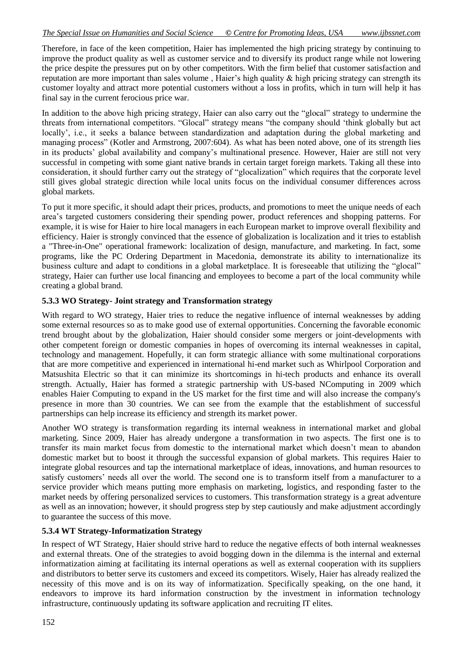#### *The Special Issue on Humanities and Social Science © Centre for Promoting Ideas, USA www.ijbssnet.com*

Therefore, in face of the keen competition, Haier has implemented the high pricing strategy by continuing to improve the product quality as well as customer service and to diversify its product range while not lowering the price despite the pressures put on by other competitors. With the firm belief that customer satisfaction and [reputation are more important than sales volume](http://www.haier.com/servicesupport/faith1.asp), Haier's high quality  $\&$  high pricing strategy can strength its customer loyalty and attract more potential customers without a loss in profits, which in turn will help it has final say in the current ferocious price war.

In addition to the above high pricing strategy, Haier can also carry out the "glocal" strategy to undermine the threats from international competitors. "Glocal" strategy means "the company should 'think globally but act locally', i.e., it seeks a balance between standardization and adaptation during the global marketing and managing process" (Kotler and Armstrong, 2007:604). As what has been noted above, one of its strength lies in its products' global availability and company's multinational presence. However, Haier are still not very successful in competing with some giant native brands in certain target foreign markets. Taking all these into consideration, it should further carry out the strategy of "glocalization" which requires that the corporate level still gives global strategic direction while local units focus on the individual consumer differences across global markets.

To put it more specific, it should adapt their prices, products, and promotions to meet the unique needs of each area's targeted customers considering their spending power, product references and shopping patterns. For example, it is wise for Haier to hire local managers in each European market to improve overall flexibility and efficiency. Haier is strongly convinced that the essence of globalization is localization and it tries to establish a "Three-in-One" operational framework: localization of design, manufacture, and marketing. In fact, some programs, like the PC Ordering Department in Macedonia, demonstrate its ability to internationalize its business culture and adapt to conditions in a global marketplace. It is foreseeable that utilizing the "glocal" strategy, Haier can further use local financing and employees to become a part of the local community while creating a global brand.

### **5.3.3 WO Strategy- Joint strategy and Transformation strategy**

With regard to WO strategy, Haier tries to reduce the negative influence of internal weaknesses by adding some external resources so as to make good use of external opportunities. Concerning the favorable economic trend brought about by the globalization, Haier should consider some mergers or joint-developments with other competent foreign or domestic companies in hopes of overcoming its internal weaknesses in capital, technology and management. Hopefully, it can form strategic alliance with some multinational corporations that are more competitive and experienced in international hi-end market such as Whirlpool Corporation and Matsushita Electric so that it can minimize its shortcomings in hi-tech products and enhance its overall strength. Actually, Haier has formed a strategic partnership with US-based NComputing in 2009 which enables Haier Computing to expand in the US market for the first time and will also increase the company's presence in more than 30 countries. We can see from the example that the establishment of successful partnerships can help increase its efficiency and strength its market power.

Another WO strategy is transformation regarding its internal weakness in international market and global marketing. Since 2009, Haier has already undergone a transformation in two aspects. The first one is to transfer its main market focus from domestic to the international market which doesn't mean to abandon domestic market but to boost it through the successful expansion of global markets. This requires Haier to integrate global resources and tap the international marketplace of ideas, innovations, and human resources to satisfy customers' needs all over the world. The second one is to transform itself from a manufacturer to a service provider which means putting more emphasis on marketing, logistics, and responding faster to the market needs by offering personalized services to customers. This transformation strategy is a great adventure as well as an innovation; however, it should progress step by step cautiously and make adjustment accordingly to guarantee the success of this move.

### **5.3.4 WT Strategy-Informatization Strategy**

In respect of WT Strategy, Haier should strive hard to reduce the negative effects of both internal weaknesses and external threats. One of the strategies to avoid bogging down in the dilemma is the internal and external informatization aiming at facilitating its internal operations as well as external cooperation with its suppliers and distributors to better serve its customers and exceed its competitors. Wisely, Haier has already realized the necessity of this move and is on its way of informatization. Specifically speaking, on the one hand, it endeavors to improve its hard information construction by the investment in information technology infrastructure, continuously updating its software application and recruiting IT elites.